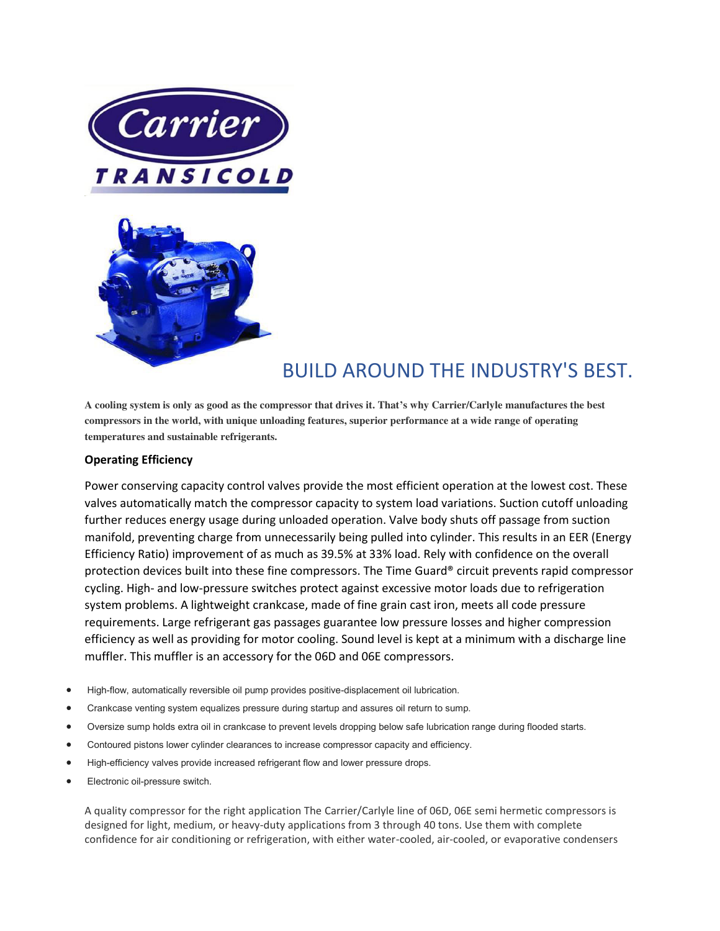



## BUILD AROUND THE INDUSTRY'S BEST.

**A cooling system is only as good as the compressor that drives it. That's why Carrier/Carlyle manufactures the best compressors in the world, with unique unloading features, superior performance at a wide range of operating temperatures and sustainable refrigerants.** 

## **Operating Efficiency**

Power conserving capacity control valves provide the most efficient operation at the lowest cost. These valves automatically match the compressor capacity to system load variations. Suction cutoff unloading further reduces energy usage during unloaded operation. Valve body shuts off passage from suction manifold, preventing charge from unnecessarily being pulled into cylinder. This results in an EER (Energy Efficiency Ratio) improvement of as much as 39.5% at 33% load. Rely with confidence on the overall protection devices built into these fine compressors. The Time Guard® circuit prevents rapid compressor cycling. High- and low-pressure switches protect against excessive motor loads due to refrigeration system problems. A lightweight crankcase, made of fine grain cast iron, meets all code pressure requirements. Large refrigerant gas passages guarantee low pressure losses and higher compression efficiency as well as providing for motor cooling. Sound level is kept at a minimum with a discharge line muffler. This muffler is an accessory for the 06D and 06E compressors.

- High-flow, automatically reversible oil pump provides positive-displacement oil lubrication.
- Crankcase venting system equalizes pressure during startup and assures oil return to sump.
- Oversize sump holds extra oil in crankcase to prevent levels dropping below safe lubrication range during flooded starts.
- Contoured pistons lower cylinder clearances to increase compressor capacity and efficiency.
- High-efficiency valves provide increased refrigerant flow and lower pressure drops.
- Electronic oil-pressure switch.

A quality compressor for the right application The Carrier/Carlyle line of 06D, 06E semi hermetic compressors is designed for light, medium, or heavy-duty applications from 3 through 40 tons. Use them with complete confidence for air conditioning or refrigeration, with either water-cooled, air-cooled, or evaporative condensers